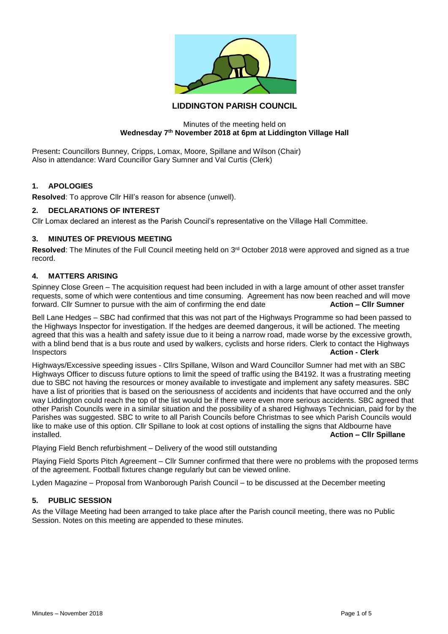

# **LIDDINGTON PARISH COUNCIL**

### Minutes of the meeting held on **Wednesday 7th November 2018 at 6pm at Liddington Village Hall**

Present**:** Councillors Bunney, Cripps, Lomax, Moore, Spillane and Wilson (Chair) Also in attendance: Ward Councillor Gary Sumner and Val Curtis (Clerk)

### **1. APOLOGIES**

**Resolved**: To approve Cllr Hill's reason for absence (unwell).

## **2. DECLARATIONS OF INTEREST**

Cllr Lomax declared an interest as the Parish Council's representative on the Village Hall Committee.

### **3. MINUTES OF PREVIOUS MEETING**

Resolved: The Minutes of the Full Council meeting held on 3<sup>rd</sup> October 2018 were approved and signed as a true record.

# **4. MATTERS ARISING**

Spinney Close Green – The acquisition request had been included in with a large amount of other asset transfer requests, some of which were contentious and time consuming. Agreement has now been reached and will move forward. Cllr Sumner to pursue with the aim of confirming the end date **Action – Cllr Sumner**

Bell Lane Hedges – SBC had confirmed that this was not part of the Highways Programme so had been passed to the Highways Inspector for investigation. If the hedges are deemed dangerous, it will be actioned. The meeting agreed that this was a health and safety issue due to it being a narrow road, made worse by the excessive growth, with a blind bend that is a bus route and used by walkers, cyclists and horse riders. Clerk to contact the Highways Inspectors **Action - Clerk**

Highways/Excessive speeding issues - Cllrs Spillane, Wilson and Ward Councillor Sumner had met with an SBC Highways Officer to discuss future options to limit the speed of traffic using the B4192. It was a frustrating meeting due to SBC not having the resources or money available to investigate and implement any safety measures. SBC have a list of priorities that is based on the seriousness of accidents and incidents that have occurred and the only way Liddington could reach the top of the list would be if there were even more serious accidents. SBC agreed that other Parish Councils were in a similar situation and the possibility of a shared Highways Technician, paid for by the Parishes was suggested. SBC to write to all Parish Councils before Christmas to see which Parish Councils would like to make use of this option. Cllr Spillane to look at cost options of installing the signs that Aldbourne have installed. **Action – Cllr Spillane**

Playing Field Bench refurbishment – Delivery of the wood still outstanding

Playing Field Sports Pitch Agreement – Cllr Sumner confirmed that there were no problems with the proposed terms of the agreement. Football fixtures change regularly but can be viewed online.

Lyden Magazine – Proposal from Wanborough Parish Council – to be discussed at the December meeting

### **5. PUBLIC SESSION**

As the Village Meeting had been arranged to take place after the Parish council meeting, there was no Public Session. Notes on this meeting are appended to these minutes.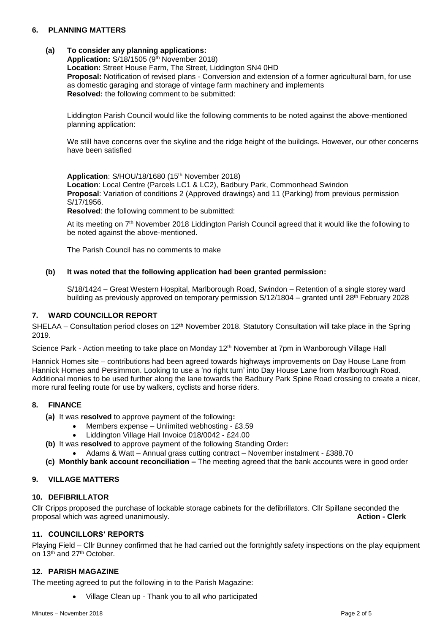## **6. PLANNING MATTERS**

### **(a) To consider any planning applications:**

Application: S/18/1505 (9<sup>th</sup> November 2018) **Location:** Street House Farm, The Street, Liddington SN4 0HD **Proposal:** Notification of revised plans - Conversion and extension of a former agricultural barn, for use as domestic garaging and storage of vintage farm machinery and implements **Resolved:** the following comment to be submitted:

Liddington Parish Council would like the following comments to be noted against the above-mentioned planning application:

We still have concerns over the skyline and the ridge height of the buildings. However, our other concerns have been satisfied

Application: S/HOU/18/1680 (15<sup>th</sup> November 2018) **Location**: Local Centre (Parcels LC1 & LC2), Badbury Park, Commonhead Swindon **Proposal**: Variation of conditions 2 (Approved drawings) and 11 (Parking) from previous permission S/17/1956.

**Resolved**: the following comment to be submitted:

At its meeting on 7th November 2018 Liddington Parish Council agreed that it would like the following to be noted against the above-mentioned.

The Parish Council has no comments to make

### **(b) It was noted that the following application had been granted permission:**

S/18/1424 – Great Western Hospital, Marlborough Road, Swindon – Retention of a single storey ward building as previously approved on temporary permission S/12/1804 – granted until 28th February 2028

#### **7. WARD COUNCILLOR REPORT**

SHELAA – Consultation period closes on 12<sup>th</sup> November 2018. Statutory Consultation will take place in the Spring 2019.

Science Park - Action meeting to take place on Monday 12<sup>th</sup> November at 7pm in Wanborough Village Hall

Hannick Homes site – contributions had been agreed towards highways improvements on Day House Lane from Hannick Homes and Persimmon. Looking to use a 'no right turn' into Day House Lane from Marlborough Road. Additional monies to be used further along the lane towards the Badbury Park Spine Road crossing to create a nicer, more rural feeling route for use by walkers, cyclists and horse riders.

### **8. FINANCE**

- **(a)** It was **resolved** to approve payment of the following**:**
	- Members expense Unlimited webhosting £3.59
	- Liddington Village Hall Invoice 018/0042 £24.00
- **(b)** It was **resolved** to approve payment of the following Standing Order**:**
	- Adams & Watt Annual grass cutting contract November instalment £388.70
- **(c) Monthly bank account reconciliation –** The meeting agreed that the bank accounts were in good order

### **9. VILLAGE MATTERS**

### **10. DEFIBRILLATOR**

Cllr Cripps proposed the purchase of lockable storage cabinets for the defibrillators. Cllr Spillane seconded the proposal which was agreed unanimously. **Action - Clerk**

## **11. COUNCILLORS' REPORTS**

Playing Field – Cllr Bunney confirmed that he had carried out the fortnightly safety inspections on the play equipment on 13<sup>th</sup> and 27<sup>th</sup> October.

#### **12. PARISH MAGAZINE**

The meeting agreed to put the following in to the Parish Magazine:

• Village Clean up - Thank you to all who participated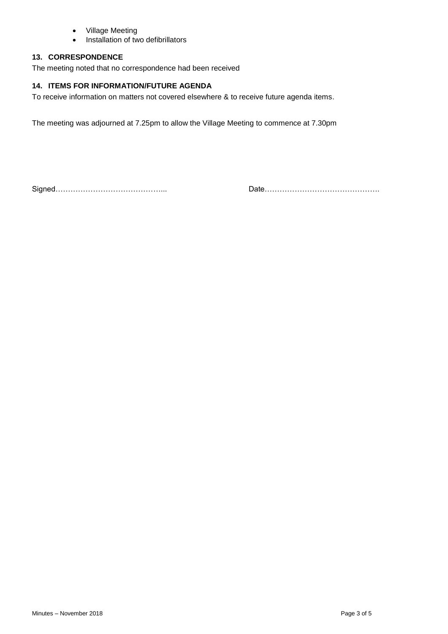- Village Meeting
- Installation of two defibrillators

## **13. CORRESPONDENCE**

The meeting noted that no correspondence had been received

## **14. ITEMS FOR INFORMATION/FUTURE AGENDA**

To receive information on matters not covered elsewhere & to receive future agenda items.

The meeting was adjourned at 7.25pm to allow the Village Meeting to commence at 7.30pm

Signed……………………………………... Date……………………………………….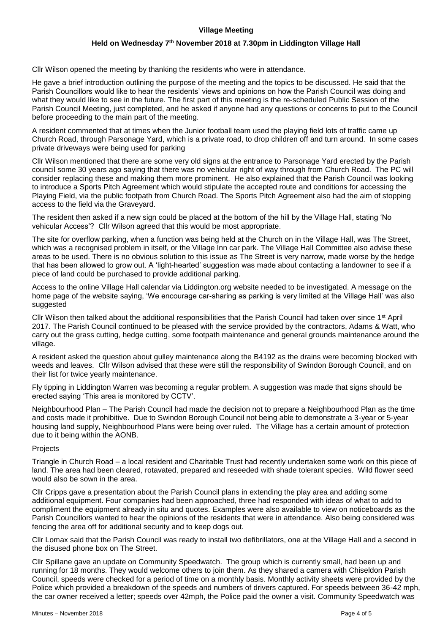## **Village Meeting**

### **Held on Wednesday 7 th November 2018 at 7.30pm in Liddington Village Hall**

Cllr Wilson opened the meeting by thanking the residents who were in attendance.

He gave a brief introduction outlining the purpose of the meeting and the topics to be discussed. He said that the Parish Councillors would like to hear the residents' views and opinions on how the Parish Council was doing and what they would like to see in the future. The first part of this meeting is the re-scheduled Public Session of the Parish Council Meeting, just completed, and he asked if anyone had any questions or concerns to put to the Council before proceeding to the main part of the meeting.

A resident commented that at times when the Junior football team used the playing field lots of traffic came up Church Road, through Parsonage Yard, which is a private road, to drop children off and turn around. In some cases private driveways were being used for parking

Cllr Wilson mentioned that there are some very old signs at the entrance to Parsonage Yard erected by the Parish council some 30 years ago saying that there was no vehicular right of way through from Church Road. The PC will consider replacing these and making them more prominent. He also explained that the Parish Council was looking to introduce a Sports Pitch Agreement which would stipulate the accepted route and conditions for accessing the Playing Field, via the public footpath from Church Road. The Sports Pitch Agreement also had the aim of stopping access to the field via the Graveyard.

The resident then asked if a new sign could be placed at the bottom of the hill by the Village Hall, stating 'No vehicular Access'? Cllr Wilson agreed that this would be most appropriate.

The site for overflow parking, when a function was being held at the Church on in the Village Hall, was The Street, which was a recognised problem in itself, or the Village Inn car park. The Village Hall Committee also advise these areas to be used. There is no obvious solution to this issue as The Street is very narrow, made worse by the hedge that has been allowed to grow out. A 'light-hearted' suggestion was made about contacting a landowner to see if a piece of land could be purchased to provide additional parking.

Access to the online Village Hall calendar via Liddington.org website needed to be investigated. A message on the home page of the website saying, 'We encourage car-sharing as parking is very limited at the Village Hall' was also suggested

Cllr Wilson then talked about the additional responsibilities that the Parish Council had taken over since 1st April 2017. The Parish Council continued to be pleased with the service provided by the contractors, Adams & Watt, who carry out the grass cutting, hedge cutting, some footpath maintenance and general grounds maintenance around the village.

A resident asked the question about gulley maintenance along the B4192 as the drains were becoming blocked with weeds and leaves. Cllr Wilson advised that these were still the responsibility of Swindon Borough Council, and on their list for twice yearly maintenance.

Fly tipping in Liddington Warren was becoming a regular problem. A suggestion was made that signs should be erected saying 'This area is monitored by CCTV'.

Neighbourhood Plan – The Parish Council had made the decision not to prepare a Neighbourhood Plan as the time and costs made it prohibitive. Due to Swindon Borough Council not being able to demonstrate a 3-year or 5-year housing land supply, Neighbourhood Plans were being over ruled. The Village has a certain amount of protection due to it being within the AONB.

### Projects

Triangle in Church Road – a local resident and Charitable Trust had recently undertaken some work on this piece of land. The area had been cleared, rotavated, prepared and reseeded with shade tolerant species. Wild flower seed would also be sown in the area.

Cllr Cripps gave a presentation about the Parish Council plans in extending the play area and adding some additional equipment. Four companies had been approached, three had responded with ideas of what to add to compliment the equipment already in situ and quotes. Examples were also available to view on noticeboards as the Parish Councillors wanted to hear the opinions of the residents that were in attendance. Also being considered was fencing the area off for additional security and to keep dogs out.

Cllr Lomax said that the Parish Council was ready to install two defibrillators, one at the Village Hall and a second in the disused phone box on The Street.

Cllr Spillane gave an update on Community Speedwatch. The group which is currently small, had been up and running for 18 months. They would welcome others to join them. As they shared a camera with Chiseldon Parish Council, speeds were checked for a period of time on a monthly basis. Monthly activity sheets were provided by the Police which provided a breakdown of the speeds and numbers of drivers captured. For speeds between 36-42 mph, the car owner received a letter; speeds over 42mph, the Police paid the owner a visit. Community Speedwatch was